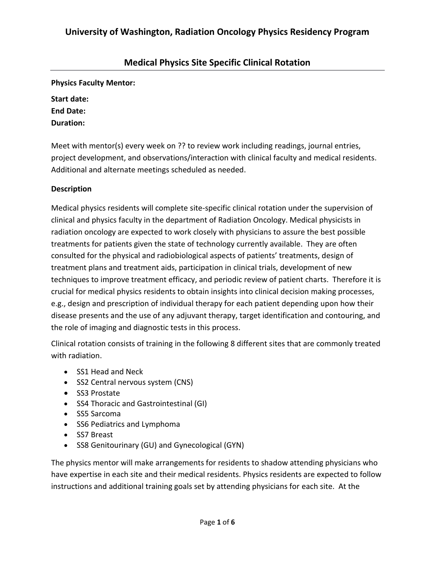## **Medical Physics Site Specific Clinical Rotation**

**Physics Faculty Mentor:**

| Start date:      |
|------------------|
| <b>End Date:</b> |
| Duration:        |

Meet with mentor(s) every week on ?? to review work including readings, journal entries, project development, and observations/interaction with clinical faculty and medical residents. Additional and alternate meetings scheduled as needed.

#### **Description**

Medical physics residents will complete site-specific clinical rotation under the supervision of clinical and physics faculty in the department of Radiation Oncology. Medical physicists in radiation oncology are expected to work closely with physicians to assure the best possible treatments for patients given the state of technology currently available. They are often consulted for the physical and radiobiological aspects of patients' treatments, design of treatment plans and treatment aids, participation in clinical trials, development of new techniques to improve treatment efficacy, and periodic review of patient charts. Therefore it is crucial for medical physics residents to obtain insights into clinical decision making processes, e.g., design and prescription of individual therapy for each patient depending upon how their disease presents and the use of any adjuvant therapy, target identification and contouring, and the role of imaging and diagnostic tests in this process.

Clinical rotation consists of training in the following 8 different sites that are commonly treated with radiation.

- SS1 Head and Neck
- SS2 Central nervous system (CNS)
- SS3 Prostate
- SS4 Thoracic and Gastrointestinal (GI)
- SS5 Sarcoma
- SS6 Pediatrics and Lymphoma
- SS7 Breast
- SS8 Genitourinary (GU) and Gynecological (GYN)

The physics mentor will make arrangements for residents to shadow attending physicians who have expertise in each site and their medical residents. Physics residents are expected to follow instructions and additional training goals set by attending physicians for each site. At the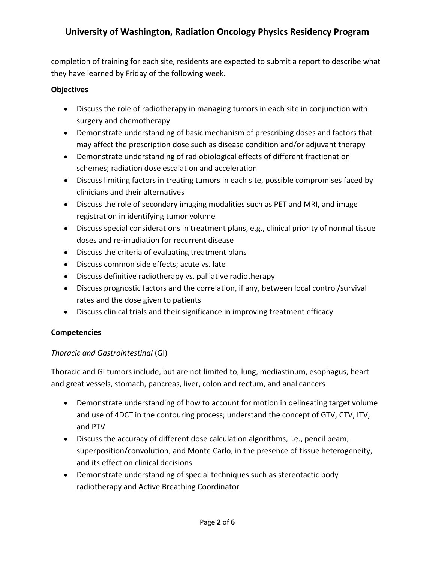completion of training for each site, residents are expected to submit a report to describe what they have learned by Friday of the following week.

### **Objectives**

- Discuss the role of radiotherapy in managing tumors in each site in conjunction with surgery and chemotherapy
- Demonstrate understanding of basic mechanism of prescribing doses and factors that may affect the prescription dose such as disease condition and/or adjuvant therapy
- Demonstrate understanding of radiobiological effects of different fractionation schemes; radiation dose escalation and acceleration
- Discuss limiting factors in treating tumors in each site, possible compromises faced by clinicians and their alternatives
- Discuss the role of secondary imaging modalities such as PET and MRI, and image registration in identifying tumor volume
- Discuss special considerations in treatment plans, e.g., clinical priority of normal tissue doses and re-irradiation for recurrent disease
- Discuss the criteria of evaluating treatment plans
- Discuss common side effects; acute vs. late
- Discuss definitive radiotherapy vs. palliative radiotherapy
- Discuss prognostic factors and the correlation, if any, between local control/survival rates and the dose given to patients
- Discuss clinical trials and their significance in improving treatment efficacy

## **Competencies**

## *Thoracic and Gastrointestinal* (GI)

Thoracic and GI tumors include, but are not limited to, lung, mediastinum, esophagus, heart and great vessels, stomach, pancreas, liver, colon and rectum, and anal cancers

- Demonstrate understanding of how to account for motion in delineating target volume and use of 4DCT in the contouring process; understand the concept of GTV, CTV, ITV, and PTV
- Discuss the accuracy of different dose calculation algorithms, i.e., pencil beam, superposition/convolution, and Monte Carlo, in the presence of tissue heterogeneity, and its effect on clinical decisions
- Demonstrate understanding of special techniques such as stereotactic body radiotherapy and Active Breathing Coordinator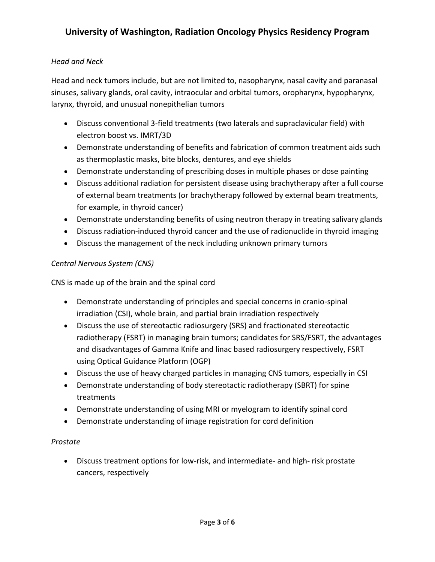### *Head and Neck*

Head and neck tumors include, but are not limited to, nasopharynx, nasal cavity and paranasal sinuses, salivary glands, oral cavity, intraocular and orbital tumors, oropharynx, hypopharynx, larynx, thyroid, and unusual nonepithelian tumors

- Discuss conventional 3-field treatments (two laterals and supraclavicular field) with electron boost vs. IMRT/3D
- Demonstrate understanding of benefits and fabrication of common treatment aids such as thermoplastic masks, bite blocks, dentures, and eye shields
- Demonstrate understanding of prescribing doses in multiple phases or dose painting
- Discuss additional radiation for persistent disease using brachytherapy after a full course of external beam treatments (or brachytherapy followed by external beam treatments, for example, in thyroid cancer)
- Demonstrate understanding benefits of using neutron therapy in treating salivary glands
- Discuss radiation-induced thyroid cancer and the use of radionuclide in thyroid imaging
- Discuss the management of the neck including unknown primary tumors

### *Central Nervous System (CNS)*

CNS is made up of the brain and the spinal cord

- Demonstrate understanding of principles and special concerns in cranio-spinal irradiation (CSI), whole brain, and partial brain irradiation respectively
- Discuss the use of stereotactic radiosurgery (SRS) and fractionated stereotactic radiotherapy (FSRT) in managing brain tumors; candidates for SRS/FSRT, the advantages and disadvantages of Gamma Knife and linac based radiosurgery respectively, FSRT using Optical Guidance Platform (OGP)
- Discuss the use of heavy charged particles in managing CNS tumors, especially in CSI
- Demonstrate understanding of body stereotactic radiotherapy (SBRT) for spine treatments
- Demonstrate understanding of using MRI or myelogram to identify spinal cord
- Demonstrate understanding of image registration for cord definition

#### *Prostate*

 Discuss treatment options for low-risk, and intermediate- and high- risk prostate cancers, respectively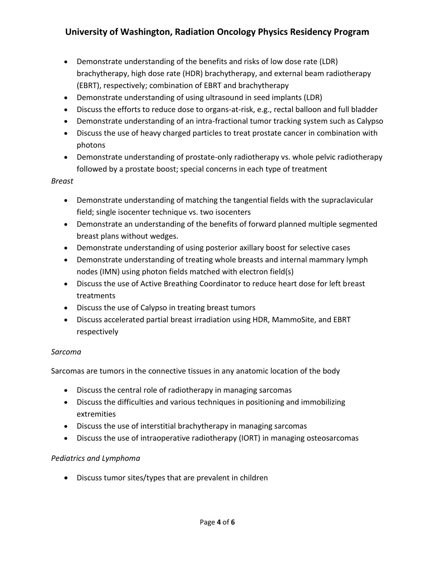- Demonstrate understanding of the benefits and risks of low dose rate (LDR) brachytherapy, high dose rate (HDR) brachytherapy, and external beam radiotherapy (EBRT), respectively; combination of EBRT and brachytherapy
- Demonstrate understanding of using ultrasound in seed implants (LDR)
- Discuss the efforts to reduce dose to organs-at-risk, e.g., rectal balloon and full bladder
- Demonstrate understanding of an intra-fractional tumor tracking system such as Calypso
- Discuss the use of heavy charged particles to treat prostate cancer in combination with photons
- Demonstrate understanding of prostate-only radiotherapy vs. whole pelvic radiotherapy followed by a prostate boost; special concerns in each type of treatment

#### *Breast*

- Demonstrate understanding of matching the tangential fields with the supraclavicular field; single isocenter technique vs. two isocenters
- Demonstrate an understanding of the benefits of forward planned multiple segmented breast plans without wedges.
- Demonstrate understanding of using posterior axillary boost for selective cases
- Demonstrate understanding of treating whole breasts and internal mammary lymph nodes (IMN) using photon fields matched with electron field(s)
- Discuss the use of Active Breathing Coordinator to reduce heart dose for left breast treatments
- Discuss the use of Calypso in treating breast tumors
- Discuss accelerated partial breast irradiation using HDR, MammoSite, and EBRT respectively

## *Sarcoma*

Sarcomas are tumors in the connective tissues in any anatomic location of the body

- Discuss the central role of radiotherapy in managing sarcomas
- Discuss the difficulties and various techniques in positioning and immobilizing extremities
- Discuss the use of interstitial brachytherapy in managing sarcomas
- Discuss the use of intraoperative radiotherapy (IORT) in managing osteosarcomas

## *Pediatrics and Lymphoma*

Discuss tumor sites/types that are prevalent in children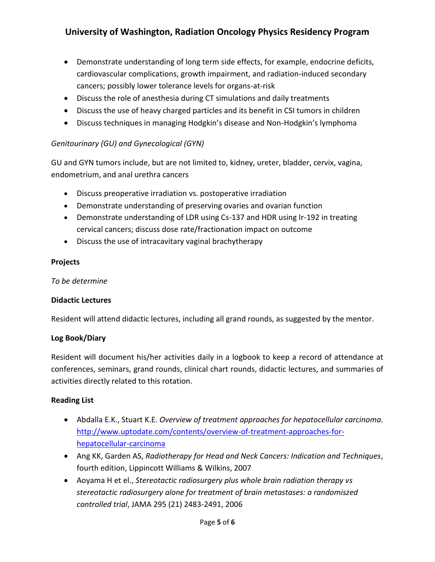- Demonstrate understanding of long term side effects, for example, endocrine deficits, cardiovascular complications, growth impairment, and radiation-induced secondary cancers; possibly lower tolerance levels for organs-at-risk
- Discuss the role of anesthesia during CT simulations and daily treatments
- Discuss the use of heavy charged particles and its benefit in CSI tumors in children
- Discuss techniques in managing Hodgkin's disease and Non-Hodgkin's lymphoma

### *Genitourinary (GU) and Gynecological (GYN)*

GU and GYN tumors include, but are not limited to, kidney, ureter, bladder, cervix, vagina, endometrium, and anal urethra cancers

- Discuss preoperative irradiation vs. postoperative irradiation
- Demonstrate understanding of preserving ovaries and ovarian function
- Demonstrate understanding of LDR using Cs-137 and HDR using Ir-192 in treating cervical cancers; discuss dose rate/fractionation impact on outcome
- Discuss the use of intracavitary vaginal brachytherapy

#### **Projects**

*To be determine*

#### **Didactic Lectures**

Resident will attend didactic lectures, including all grand rounds, as suggested by the mentor.

#### **Log Book/Diary**

Resident will document his/her activities daily in a logbook to keep a record of attendance at conferences, seminars, grand rounds, clinical chart rounds, didactic lectures, and summaries of activities directly related to this rotation.

#### **Reading List**

- Abdalla E.K., Stuart K.E. *Overview of treatment approaches for hepatocellular carcinoma.* [http://www.uptodate.com/contents/overview-of-treatment-approaches-for](http://www.uptodate.com/contents/overview-of-treatment-approaches-for-hepatocellular-carcinoma)[hepatocellular-carcinoma](http://www.uptodate.com/contents/overview-of-treatment-approaches-for-hepatocellular-carcinoma)
- Ang KK, Garden AS, *Radiotherapy for Head and Neck Cancers: Indication and Techniques*, fourth edition, Lippincott Williams & Wilkins, 2007
- Aoyama H et el., *Stereotactic radiosurgery plus whole brain radiation therapy vs stereotactic radiosurgery alone for treatment of brain metastases: a randomiszed controlled trial*, JAMA 295 (21) 2483-2491, 2006